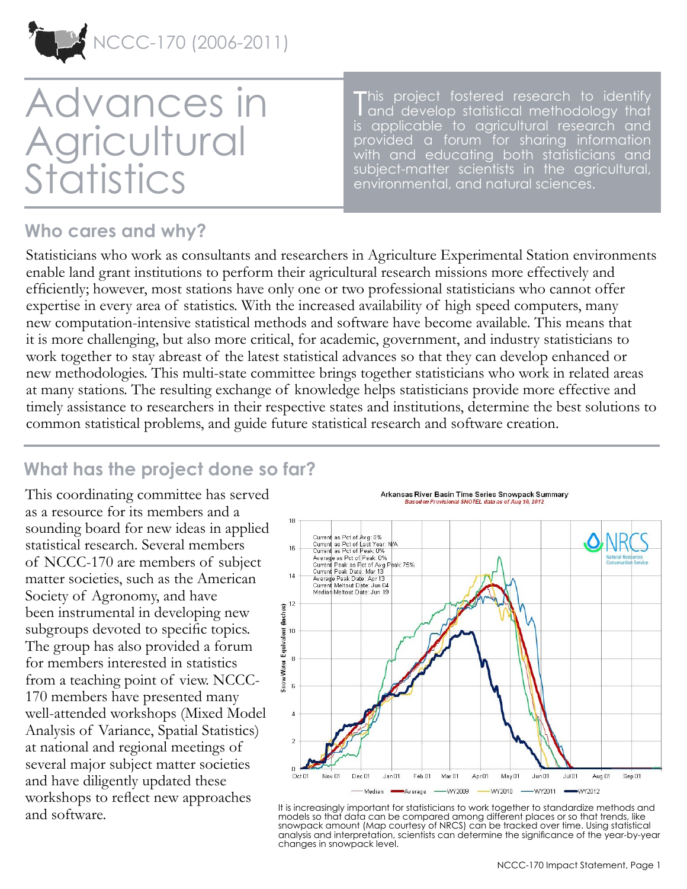

# Advances in **Agricultural Statistics**

This project fostered research to identify<br>and develop statistical methodology that and develop statistical methodology that is applicable to agricultural research and provided a forum for sharing information with and educating both statisticians and subject-matter scientists in the agricultural, environmental, and natural sciences.

#### **Who cares and why?**

Statisticians who work as consultants and researchers in Agriculture Experimental Station environments enable land grant institutions to perform their agricultural research missions more effectively and efficiently; however, most stations have only one or two professional statisticians who cannot offer expertise in every area of statistics. With the increased availability of high speed computers, many new computation-intensive statistical methods and software have become available. This means that it is more challenging, but also more critical, for academic, government, and industry statisticians to work together to stay abreast of the latest statistical advances so that they can develop enhanced or new methodologies. This multi-state committee brings together statisticians who work in related areas at many stations. The resulting exchange of knowledge helps statisticians provide more effective and timely assistance to researchers in their respective states and institutions, determine the best solutions to common statistical problems, and guide future statistical research and software creation.

## **What has the project done so far?**

This coordinating committee has served as a resource for its members and a sounding board for new ideas in applied statistical research. Several members of NCCC-170 are members of subject matter societies, such as the American Society of Agronomy, and have been instrumental in developing new subgroups devoted to specific topics. The group has also provided a forum for members interested in statistics from a teaching point of view. NCCC-170 members have presented many well-attended workshops (Mixed Model Analysis of Variance, Spatial Statistics) at national and regional meetings of several major subject matter societies and have diligently updated these workshops to reflect new approaches and software.

Arkansas River Basin Time Series Snowpack Summary Based on Provisional SNOTEL data as of Aug 10, 2012



It is increasingly important for statisticians to work together to standardize methods and models so that data can be compared among different places or so that trends, like snowpack amount (Map courtesy of NRCS) can be tracked over time. Using statistical analysis and interpretation, scientists can determine the significance of the year-by-year changes in snowpack level.